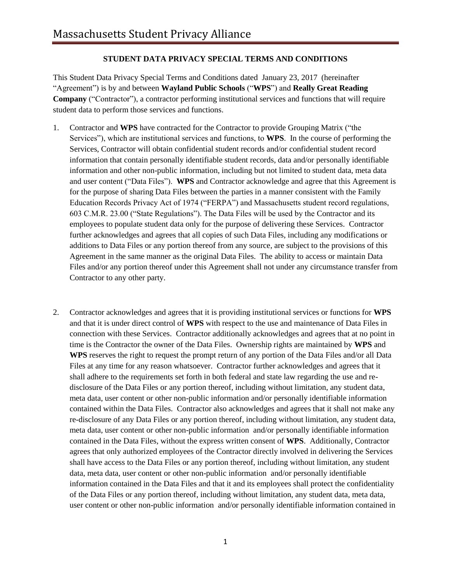## **STUDENT DATA PRIVACY SPECIAL TERMS AND CONDITIONS**

This Student Data Privacy Special Terms and Conditions dated January 23, 2017 (hereinafter "Agreement") is by and between **Wayland Public Schools** ("**WPS**") and **Really Great Reading Company** ("Contractor"), a contractor performing institutional services and functions that will require student data to perform those services and functions.

- 1. Contractor and **WPS** have contracted for the Contractor to provide Grouping Matrix ("the Services"), which are institutional services and functions, to **WPS**. In the course of performing the Services, Contractor will obtain confidential student records and/or confidential student record information that contain personally identifiable student records, data and/or personally identifiable information and other non-public information, including but not limited to student data, meta data and user content ("Data Files"). **WPS** and Contractor acknowledge and agree that this Agreement is for the purpose of sharing Data Files between the parties in a manner consistent with the Family Education Records Privacy Act of 1974 ("FERPA") and Massachusetts student record regulations, 603 C.M.R. 23.00 ("State Regulations"). The Data Files will be used by the Contractor and its employees to populate student data only for the purpose of delivering these Services. Contractor further acknowledges and agrees that all copies of such Data Files, including any modifications or additions to Data Files or any portion thereof from any source, are subject to the provisions of this Agreement in the same manner as the original Data Files. The ability to access or maintain Data Files and/or any portion thereof under this Agreement shall not under any circumstance transfer from Contractor to any other party.
- 2. Contractor acknowledges and agrees that it is providing institutional services or functions for **WPS** and that it is under direct control of **WPS** with respect to the use and maintenance of Data Files in connection with these Services. Contractor additionally acknowledges and agrees that at no point in time is the Contractor the owner of the Data Files. Ownership rights are maintained by **WPS** and **WPS** reserves the right to request the prompt return of any portion of the Data Files and/or all Data Files at any time for any reason whatsoever. Contractor further acknowledges and agrees that it shall adhere to the requirements set forth in both federal and state law regarding the use and redisclosure of the Data Files or any portion thereof, including without limitation, any student data, meta data, user content or other non-public information and/or personally identifiable information contained within the Data Files. Contractor also acknowledges and agrees that it shall not make any re-disclosure of any Data Files or any portion thereof, including without limitation, any student data, meta data, user content or other non-public information and/or personally identifiable information contained in the Data Files, without the express written consent of **WPS**. Additionally, Contractor agrees that only authorized employees of the Contractor directly involved in delivering the Services shall have access to the Data Files or any portion thereof, including without limitation, any student data, meta data, user content or other non-public information and/or personally identifiable information contained in the Data Files and that it and its employees shall protect the confidentiality of the Data Files or any portion thereof, including without limitation, any student data, meta data, user content or other non-public information and/or personally identifiable information contained in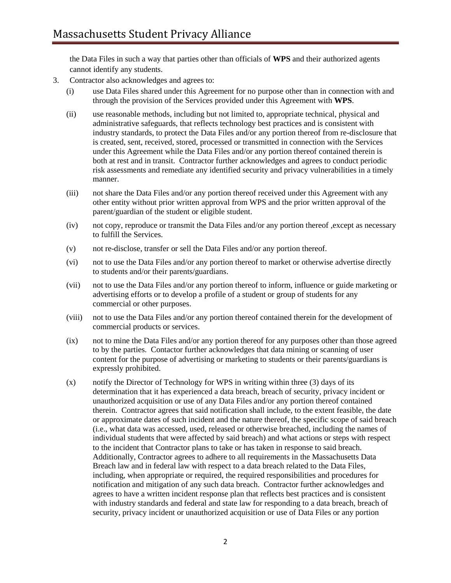the Data Files in such a way that parties other than officials of **WPS** and their authorized agents cannot identify any students.

- 3. Contractor also acknowledges and agrees to:
	- (i) use Data Files shared under this Agreement for no purpose other than in connection with and through the provision of the Services provided under this Agreement with **WPS**.
	- (ii) use reasonable methods, including but not limited to, appropriate technical, physical and administrative safeguards, that reflects technology best practices and is consistent with industry standards, to protect the Data Files and/or any portion thereof from re-disclosure that is created, sent, received, stored, processed or transmitted in connection with the Services under this Agreement while the Data Files and/or any portion thereof contained therein is both at rest and in transit. Contractor further acknowledges and agrees to conduct periodic risk assessments and remediate any identified security and privacy vulnerabilities in a timely manner.
	- (iii) not share the Data Files and/or any portion thereof received under this Agreement with any other entity without prior written approval from WPS and the prior written approval of the parent/guardian of the student or eligible student.
	- (iv) not copy, reproduce or transmit the Data Files and/or any portion thereof ,except as necessary to fulfill the Services.
	- (v) not re-disclose, transfer or sell the Data Files and/or any portion thereof.
	- (vi) not to use the Data Files and/or any portion thereof to market or otherwise advertise directly to students and/or their parents/guardians.
	- (vii) not to use the Data Files and/or any portion thereof to inform, influence or guide marketing or advertising efforts or to develop a profile of a student or group of students for any commercial or other purposes.
	- (viii) not to use the Data Files and/or any portion thereof contained therein for the development of commercial products or services.
	- (ix) not to mine the Data Files and/or any portion thereof for any purposes other than those agreed to by the parties. Contactor further acknowledges that data mining or scanning of user content for the purpose of advertising or marketing to students or their parents/guardians is expressly prohibited.
	- (x) notify the Director of Technology for WPS in writing within three (3) days of its determination that it has experienced a data breach, breach of security, privacy incident or unauthorized acquisition or use of any Data Files and/or any portion thereof contained therein. Contractor agrees that said notification shall include, to the extent feasible, the date or approximate dates of such incident and the nature thereof, the specific scope of said breach (i.e., what data was accessed, used, released or otherwise breached, including the names of individual students that were affected by said breach) and what actions or steps with respect to the incident that Contractor plans to take or has taken in response to said breach. Additionally, Contractor agrees to adhere to all requirements in the Massachusetts Data Breach law and in federal law with respect to a data breach related to the Data Files, including, when appropriate or required, the required responsibilities and procedures for notification and mitigation of any such data breach. Contractor further acknowledges and agrees to have a written incident response plan that reflects best practices and is consistent with industry standards and federal and state law for responding to a data breach, breach of security, privacy incident or unauthorized acquisition or use of Data Files or any portion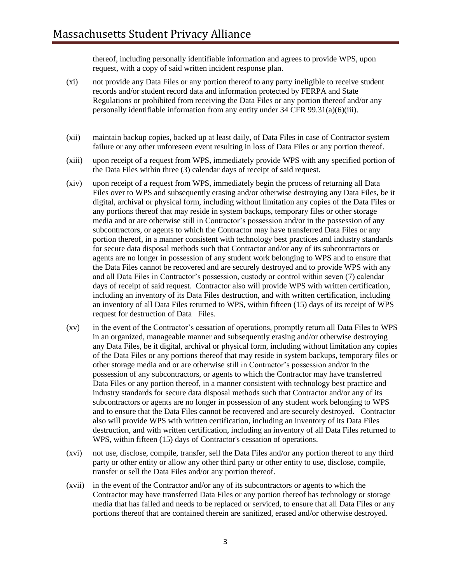thereof, including personally identifiable information and agrees to provide WPS, upon request, with a copy of said written incident response plan.

- (xi) not provide any Data Files or any portion thereof to any party ineligible to receive student records and/or student record data and information protected by FERPA and State Regulations or prohibited from receiving the Data Files or any portion thereof and/or any personally identifiable information from any entity under 34 CFR 99.31(a)(6)(iii).
- (xii) maintain backup copies, backed up at least daily, of Data Files in case of Contractor system failure or any other unforeseen event resulting in loss of Data Files or any portion thereof.
- (xiii) upon receipt of a request from WPS, immediately provide WPS with any specified portion of the Data Files within three (3) calendar days of receipt of said request.
- (xiv) upon receipt of a request from WPS, immediately begin the process of returning all Data Files over to WPS and subsequently erasing and/or otherwise destroying any Data Files, be it digital, archival or physical form, including without limitation any copies of the Data Files or any portions thereof that may reside in system backups, temporary files or other storage media and or are otherwise still in Contractor's possession and/or in the possession of any subcontractors, or agents to which the Contractor may have transferred Data Files or any portion thereof, in a manner consistent with technology best practices and industry standards for secure data disposal methods such that Contractor and/or any of its subcontractors or agents are no longer in possession of any student work belonging to WPS and to ensure that the Data Files cannot be recovered and are securely destroyed and to provide WPS with any and all Data Files in Contractor's possession, custody or control within seven (7) calendar days of receipt of said request. Contractor also will provide WPS with written certification, including an inventory of its Data Files destruction, and with written certification, including an inventory of all Data Files returned to WPS, within fifteen (15) days of its receipt of WPS request for destruction of Data Files.
- (xv) in the event of the Contractor's cessation of operations, promptly return all Data Files to WPS in an organized, manageable manner and subsequently erasing and/or otherwise destroying any Data Files, be it digital, archival or physical form, including without limitation any copies of the Data Files or any portions thereof that may reside in system backups, temporary files or other storage media and or are otherwise still in Contractor's possession and/or in the possession of any subcontractors, or agents to which the Contractor may have transferred Data Files or any portion thereof, in a manner consistent with technology best practice and industry standards for secure data disposal methods such that Contractor and/or any of its subcontractors or agents are no longer in possession of any student work belonging to WPS and to ensure that the Data Files cannot be recovered and are securely destroyed. Contractor also will provide WPS with written certification, including an inventory of its Data Files destruction, and with written certification, including an inventory of all Data Files returned to WPS, within fifteen (15) days of Contractor's cessation of operations.
- (xvi) not use, disclose, compile, transfer, sell the Data Files and/or any portion thereof to any third party or other entity or allow any other third party or other entity to use, disclose, compile, transfer or sell the Data Files and/or any portion thereof.
- (xvii) in the event of the Contractor and/or any of its subcontractors or agents to which the Contractor may have transferred Data Files or any portion thereof has technology or storage media that has failed and needs to be replaced or serviced, to ensure that all Data Files or any portions thereof that are contained therein are sanitized, erased and/or otherwise destroyed.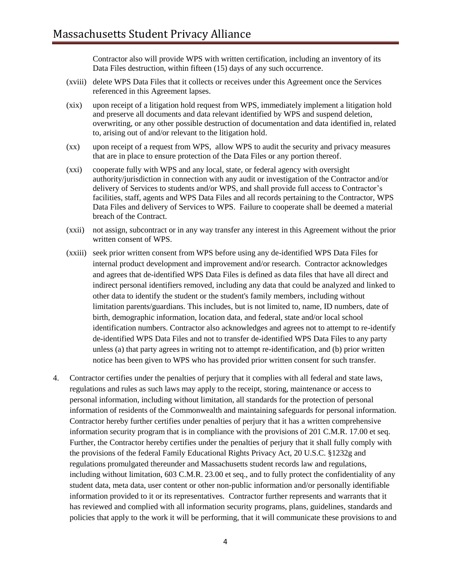Contractor also will provide WPS with written certification, including an inventory of its Data Files destruction, within fifteen (15) days of any such occurrence.

- (xviii) delete WPS Data Files that it collects or receives under this Agreement once the Services referenced in this Agreement lapses.
- (xix) upon receipt of a litigation hold request from WPS, immediately implement a litigation hold and preserve all documents and data relevant identified by WPS and suspend deletion, overwriting, or any other possible destruction of documentation and data identified in, related to, arising out of and/or relevant to the litigation hold.
- (xx) upon receipt of a request from WPS, allow WPS to audit the security and privacy measures that are in place to ensure protection of the Data Files or any portion thereof.
- (xxi) cooperate fully with WPS and any local, state, or federal agency with oversight authority/jurisdiction in connection with any audit or investigation of the Contractor and/or delivery of Services to students and/or WPS, and shall provide full access to Contractor's facilities, staff, agents and WPS Data Files and all records pertaining to the Contractor, WPS Data Files and delivery of Services to WPS. Failure to cooperate shall be deemed a material breach of the Contract.
- (xxii) not assign, subcontract or in any way transfer any interest in this Agreement without the prior written consent of WPS.
- (xxiii) seek prior written consent from WPS before using any de-identified WPS Data Files for internal product development and improvement and/or research. Contractor acknowledges and agrees that de-identified WPS Data Files is defined as data files that have all direct and indirect personal identifiers removed, including any data that could be analyzed and linked to other data to identify the student or the student's family members, including without limitation parents/guardians. This includes, but is not limited to, name, ID numbers, date of birth, demographic information, location data, and federal, state and/or local school identification numbers. Contractor also acknowledges and agrees not to attempt to re-identify de-identified WPS Data Files and not to transfer de-identified WPS Data Files to any party unless (a) that party agrees in writing not to attempt re-identification, and (b) prior written notice has been given to WPS who has provided prior written consent for such transfer.
- 4. Contractor certifies under the penalties of perjury that it complies with all federal and state laws, regulations and rules as such laws may apply to the receipt, storing, maintenance or access to personal information, including without limitation, all standards for the protection of personal information of residents of the Commonwealth and maintaining safeguards for personal information. Contractor hereby further certifies under penalties of perjury that it has a written comprehensive information security program that is in compliance with the provisions of 201 C.M.R. 17.00 et seq. Further, the Contractor hereby certifies under the penalties of perjury that it shall fully comply with the provisions of the federal Family Educational Rights Privacy Act, 20 U.S.C. §1232g and regulations promulgated thereunder and Massachusetts student records law and regulations, including without limitation, 603 C.M.R. 23.00 et seq., and to fully protect the confidentiality of any student data, meta data, user content or other non-public information and/or personally identifiable information provided to it or its representatives. Contractor further represents and warrants that it has reviewed and complied with all information security programs, plans, guidelines, standards and policies that apply to the work it will be performing, that it will communicate these provisions to and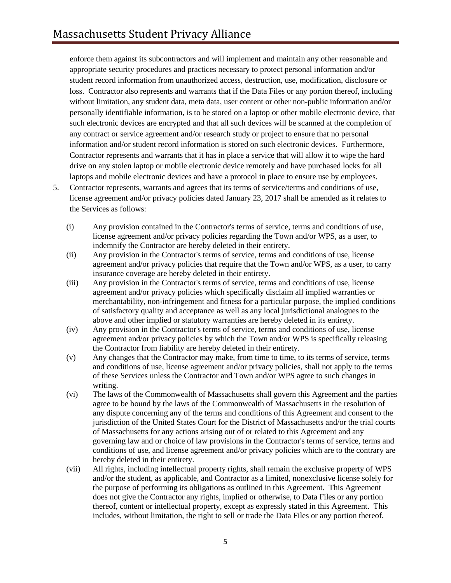enforce them against its subcontractors and will implement and maintain any other reasonable and appropriate security procedures and practices necessary to protect personal information and/or student record information from unauthorized access, destruction, use, modification, disclosure or loss. Contractor also represents and warrants that if the Data Files or any portion thereof, including without limitation, any student data, meta data, user content or other non-public information and/or personally identifiable information, is to be stored on a laptop or other mobile electronic device, that such electronic devices are encrypted and that all such devices will be scanned at the completion of any contract or service agreement and/or research study or project to ensure that no personal information and/or student record information is stored on such electronic devices. Furthermore, Contractor represents and warrants that it has in place a service that will allow it to wipe the hard drive on any stolen laptop or mobile electronic device remotely and have purchased locks for all laptops and mobile electronic devices and have a protocol in place to ensure use by employees.

- 5. Contractor represents, warrants and agrees that its terms of service/terms and conditions of use, license agreement and/or privacy policies dated January 23, 2017 shall be amended as it relates to the Services as follows:
	- (i) Any provision contained in the Contractor's terms of service, terms and conditions of use, license agreement and/or privacy policies regarding the Town and/or WPS, as a user, to indemnify the Contractor are hereby deleted in their entirety.
	- (ii) Any provision in the Contractor's terms of service, terms and conditions of use, license agreement and/or privacy policies that require that the Town and/or WPS, as a user, to carry insurance coverage are hereby deleted in their entirety.
	- (iii) Any provision in the Contractor's terms of service, terms and conditions of use, license agreement and/or privacy policies which specifically disclaim all implied warranties or merchantability, non-infringement and fitness for a particular purpose, the implied conditions of satisfactory quality and acceptance as well as any local jurisdictional analogues to the above and other implied or statutory warranties are hereby deleted in its entirety.
	- (iv) Any provision in the Contractor's terms of service, terms and conditions of use, license agreement and/or privacy policies by which the Town and/or WPS is specifically releasing the Contractor from liability are hereby deleted in their entirety.
	- (v) Any changes that the Contractor may make, from time to time, to its terms of service, terms and conditions of use, license agreement and/or privacy policies, shall not apply to the terms of these Services unless the Contractor and Town and/or WPS agree to such changes in writing.
	- (vi) The laws of the Commonwealth of Massachusetts shall govern this Agreement and the parties agree to be bound by the laws of the Commonwealth of Massachusetts in the resolution of any dispute concerning any of the terms and conditions of this Agreement and consent to the jurisdiction of the United States Court for the District of Massachusetts and/or the trial courts of Massachusetts for any actions arising out of or related to this Agreement and any governing law and or choice of law provisions in the Contractor's terms of service, terms and conditions of use, and license agreement and/or privacy policies which are to the contrary are hereby deleted in their entirety.
	- (vii) All rights, including intellectual property rights, shall remain the exclusive property of WPS and/or the student, as applicable, and Contractor as a limited, nonexclusive license solely for the purpose of performing its obligations as outlined in this Agreement. This Agreement does not give the Contractor any rights, implied or otherwise, to Data Files or any portion thereof, content or intellectual property, except as expressly stated in this Agreement. This includes, without limitation, the right to sell or trade the Data Files or any portion thereof.